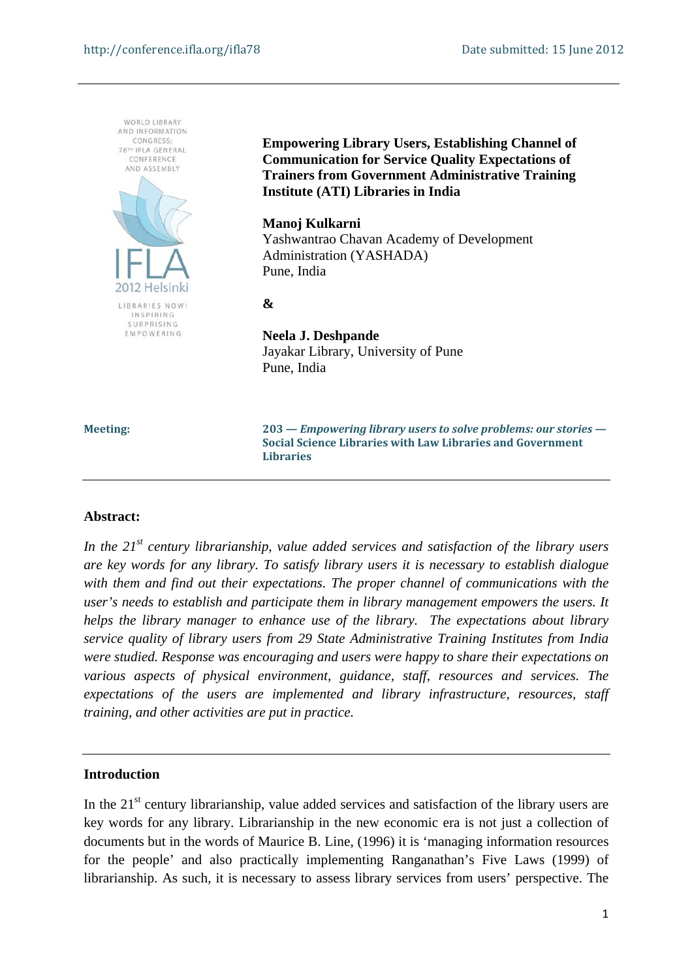

**Empowering Library Users, Establishing Channel of Communication for Service Quality Expectations of Trainers from Government Administrative Training Institute (ATI) Libraries in India** 

#### **Manoj Kulkarni**

Yashwantrao Chavan Academy of Development Administration (YASHADA) Pune, India

**&** 

# **Neela J. Deshpande**  Jayakar Library, University of Pune Pune, India

**Meeting: 203 —** *Empowering library users to solve problems: our stories* **— Social Science Libraries with Law Libraries and Government Libraries** 

#### **Abstract:**

*In the 21st century librarianship, value added services and satisfaction of the library users are key words for any library. To satisfy library users it is necessary to establish dialogue with them and find out their expectations. The proper channel of communications with the user's needs to establish and participate them in library management empowers the users. It helps the library manager to enhance use of the library. The expectations about library service quality of library users from 29 State Administrative Training Institutes from India were studied. Response was encouraging and users were happy to share their expectations on various aspects of physical environment, guidance, staff, resources and services. The expectations of the users are implemented and library infrastructure, resources, staff training, and other activities are put in practice.* 

# **Introduction**

In the  $21<sup>st</sup>$  century librarianship, value added services and satisfaction of the library users are key words for any library. Librarianship in the new economic era is not just a collection of documents but in the words of Maurice B. Line, (1996) it is 'managing information resources for the people' and also practically implementing Ranganathan's Five Laws (1999) of librarianship. As such, it is necessary to assess library services from users' perspective. The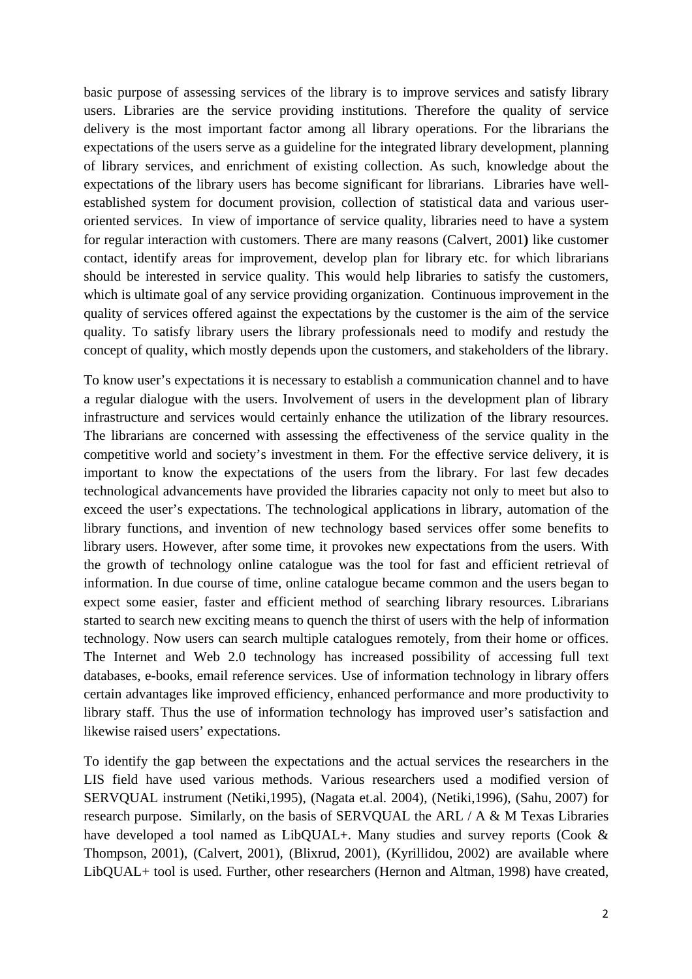basic purpose of assessing services of the library is to improve services and satisfy library users. Libraries are the service providing institutions. Therefore the quality of service delivery is the most important factor among all library operations. For the librarians the expectations of the users serve as a guideline for the integrated library development, planning of library services, and enrichment of existing collection. As such, knowledge about the expectations of the library users has become significant for librarians. Libraries have wellestablished system for document provision, collection of statistical data and various useroriented services. In view of importance of service quality, libraries need to have a system for regular interaction with customers. There are many reasons (Calvert, 2001**)** like customer contact, identify areas for improvement, develop plan for library etc. for which librarians should be interested in service quality. This would help libraries to satisfy the customers, which is ultimate goal of any service providing organization. Continuous improvement in the quality of services offered against the expectations by the customer is the aim of the service quality. To satisfy library users the library professionals need to modify and restudy the concept of quality, which mostly depends upon the customers, and stakeholders of the library.

To know user's expectations it is necessary to establish a communication channel and to have a regular dialogue with the users. Involvement of users in the development plan of library infrastructure and services would certainly enhance the utilization of the library resources. The librarians are concerned with assessing the effectiveness of the service quality in the competitive world and society's investment in them. For the effective service delivery, it is important to know the expectations of the users from the library. For last few decades technological advancements have provided the libraries capacity not only to meet but also to exceed the user's expectations. The technological applications in library, automation of the library functions, and invention of new technology based services offer some benefits to library users. However, after some time, it provokes new expectations from the users. With the growth of technology online catalogue was the tool for fast and efficient retrieval of information. In due course of time, online catalogue became common and the users began to expect some easier, faster and efficient method of searching library resources. Librarians started to search new exciting means to quench the thirst of users with the help of information technology. Now users can search multiple catalogues remotely, from their home or offices. The Internet and Web 2.0 technology has increased possibility of accessing full text databases, e-books, email reference services. Use of information technology in library offers certain advantages like improved efficiency, enhanced performance and more productivity to library staff. Thus the use of information technology has improved user's satisfaction and likewise raised users' expectations.

To identify the gap between the expectations and the actual services the researchers in the LIS field have used various methods. Various researchers used a modified version of SERVQUAL instrument (Netiki,1995), (Nagata et.al. 2004), (Netiki,1996), (Sahu, 2007) for research purpose. Similarly, on the basis of SERVQUAL the ARL / A & M Texas Libraries have developed a tool named as LibQUAL+. Many studies and survey reports (Cook & Thompson, 2001), (Calvert, 2001), (Blixrud, 2001), (Kyrillidou, 2002) are available where LibQUAL+ tool is used. Further, other researchers (Hernon and Altman, 1998) have created,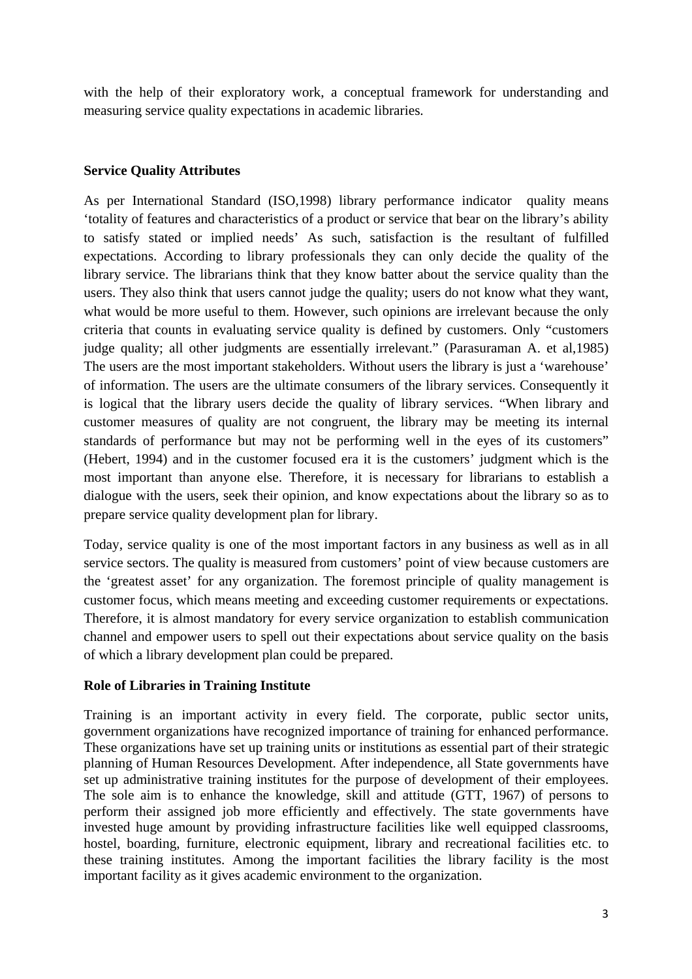with the help of their exploratory work, a conceptual framework for understanding and measuring service quality expectations in academic libraries.

#### **Service Quality Attributes**

As per International Standard (ISO,1998) library performance indicator quality means 'totality of features and characteristics of a product or service that bear on the library's ability to satisfy stated or implied needs' As such, satisfaction is the resultant of fulfilled expectations. According to library professionals they can only decide the quality of the library service. The librarians think that they know batter about the service quality than the users. They also think that users cannot judge the quality; users do not know what they want, what would be more useful to them. However, such opinions are irrelevant because the only criteria that counts in evaluating service quality is defined by customers. Only "customers judge quality; all other judgments are essentially irrelevant." (Parasuraman A. et al,1985) The users are the most important stakeholders. Without users the library is just a 'warehouse' of information. The users are the ultimate consumers of the library services. Consequently it is logical that the library users decide the quality of library services. "When library and customer measures of quality are not congruent, the library may be meeting its internal standards of performance but may not be performing well in the eyes of its customers" (Hebert, 1994) and in the customer focused era it is the customers' judgment which is the most important than anyone else. Therefore, it is necessary for librarians to establish a dialogue with the users, seek their opinion, and know expectations about the library so as to prepare service quality development plan for library.

Today, service quality is one of the most important factors in any business as well as in all service sectors. The quality is measured from customers' point of view because customers are the 'greatest asset' for any organization. The foremost principle of quality management is customer focus, which means meeting and exceeding customer requirements or expectations. Therefore, it is almost mandatory for every service organization to establish communication channel and empower users to spell out their expectations about service quality on the basis of which a library development plan could be prepared.

# **Role of Libraries in Training Institute**

Training is an important activity in every field. The corporate, public sector units, government organizations have recognized importance of training for enhanced performance. These organizations have set up training units or institutions as essential part of their strategic planning of Human Resources Development. After independence, all State governments have set up administrative training institutes for the purpose of development of their employees. The sole aim is to enhance the knowledge, skill and attitude (GTT, 1967) of persons to perform their assigned job more efficiently and effectively. The state governments have invested huge amount by providing infrastructure facilities like well equipped classrooms, hostel, boarding, furniture, electronic equipment, library and recreational facilities etc. to these training institutes. Among the important facilities the library facility is the most important facility as it gives academic environment to the organization.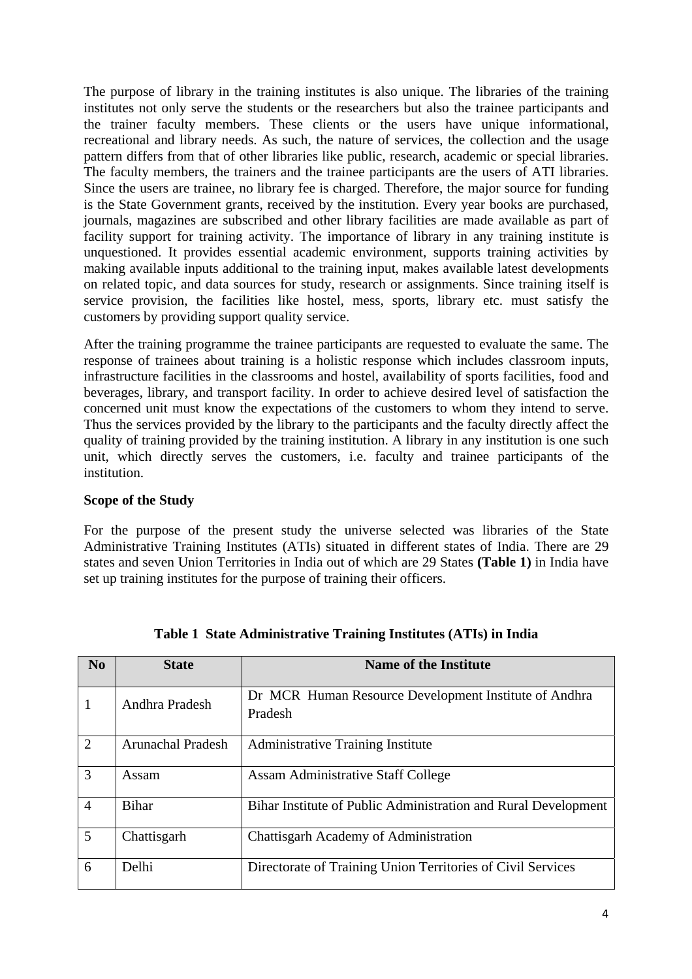The purpose of library in the training institutes is also unique. The libraries of the training institutes not only serve the students or the researchers but also the trainee participants and the trainer faculty members. These clients or the users have unique informational, recreational and library needs. As such, the nature of services, the collection and the usage pattern differs from that of other libraries like public, research, academic or special libraries. The faculty members, the trainers and the trainee participants are the users of ATI libraries. Since the users are trainee, no library fee is charged. Therefore, the major source for funding is the State Government grants, received by the institution. Every year books are purchased, journals, magazines are subscribed and other library facilities are made available as part of facility support for training activity. The importance of library in any training institute is unquestioned. It provides essential academic environment, supports training activities by making available inputs additional to the training input, makes available latest developments on related topic, and data sources for study, research or assignments. Since training itself is service provision, the facilities like hostel, mess, sports, library etc. must satisfy the customers by providing support quality service.

After the training programme the trainee participants are requested to evaluate the same. The response of trainees about training is a holistic response which includes classroom inputs, infrastructure facilities in the classrooms and hostel, availability of sports facilities, food and beverages, library, and transport facility. In order to achieve desired level of satisfaction the concerned unit must know the expectations of the customers to whom they intend to serve. Thus the services provided by the library to the participants and the faculty directly affect the quality of training provided by the training institution. A library in any institution is one such unit, which directly serves the customers, i.e. faculty and trainee participants of the institution.

# **Scope of the Study**

For the purpose of the present study the universe selected was libraries of the State Administrative Training Institutes (ATIs) situated in different states of India. There are 29 states and seven Union Territories in India out of which are 29 States **(Table 1)** in India have set up training institutes for the purpose of training their officers.

| No             | <b>State</b>             | <b>Name of the Institute</b>                                     |
|----------------|--------------------------|------------------------------------------------------------------|
|                | Andhra Pradesh           | Dr MCR Human Resource Development Institute of Andhra<br>Pradesh |
| $\overline{2}$ | <b>Arunachal Pradesh</b> | <b>Administrative Training Institute</b>                         |
| 3              | Assam                    | <b>Assam Administrative Staff College</b>                        |
| $\overline{4}$ | <b>Bihar</b>             | Bihar Institute of Public Administration and Rural Development   |
| 5              | Chattisgarh              | Chattisgarh Academy of Administration                            |
| 6              | Delhi                    | Directorate of Training Union Territories of Civil Services      |

**Table 1 State Administrative Training Institutes (ATIs) in India**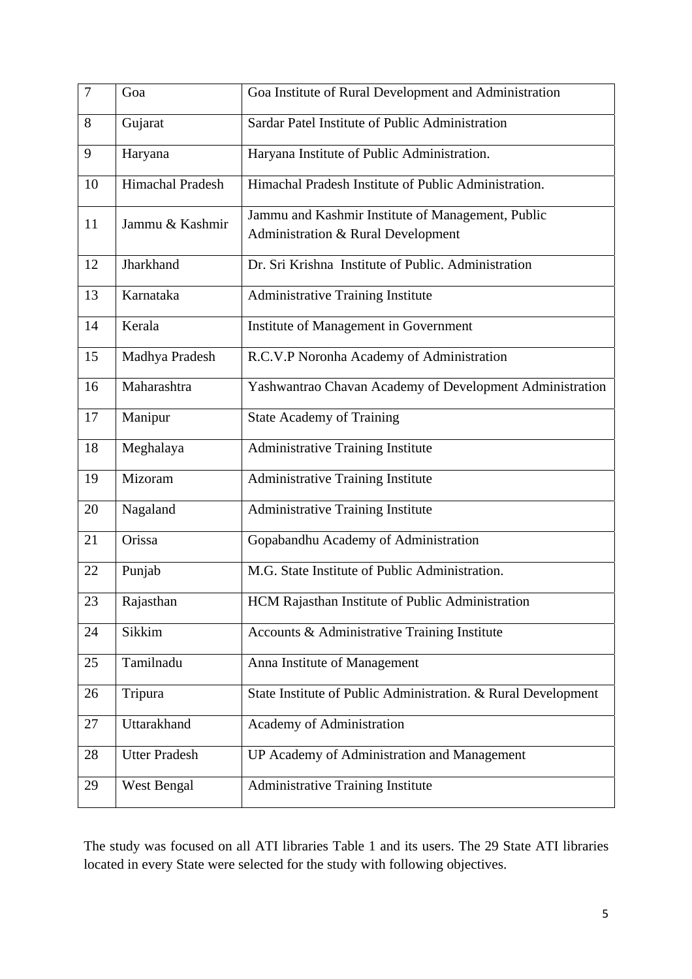| $\overline{7}$ | Goa                  | Goa Institute of Rural Development and Administration                                              |
|----------------|----------------------|----------------------------------------------------------------------------------------------------|
| 8              | Gujarat              | Sardar Patel Institute of Public Administration                                                    |
| 9              | Haryana              | Haryana Institute of Public Administration.                                                        |
| 10             | Himachal Pradesh     | Himachal Pradesh Institute of Public Administration.                                               |
| 11             | Jammu & Kashmir      | Jammu and Kashmir Institute of Management, Public<br><b>Administration &amp; Rural Development</b> |
| 12             | Jharkhand            | Dr. Sri Krishna Institute of Public. Administration                                                |
| 13             | Karnataka            | <b>Administrative Training Institute</b>                                                           |
| 14             | Kerala               | Institute of Management in Government                                                              |
| 15             | Madhya Pradesh       | R.C.V.P Noronha Academy of Administration                                                          |
| 16             | Maharashtra          | Yashwantrao Chavan Academy of Development Administration                                           |
| 17             | Manipur              | <b>State Academy of Training</b>                                                                   |
| 18             | Meghalaya            | <b>Administrative Training Institute</b>                                                           |
| 19             | Mizoram              | <b>Administrative Training Institute</b>                                                           |
| 20             | Nagaland             | <b>Administrative Training Institute</b>                                                           |
| 21             | Orissa               | Gopabandhu Academy of Administration                                                               |
| 22             | Punjab               | M.G. State Institute of Public Administration.                                                     |
| 23             | Rajasthan            | HCM Rajasthan Institute of Public Administration                                                   |
| 24             | Sikkim               | Accounts & Administrative Training Institute                                                       |
| 25             | Tamilnadu            | Anna Institute of Management                                                                       |
| 26             | Tripura              | State Institute of Public Administration. & Rural Development                                      |
| 27             | Uttarakhand          | Academy of Administration                                                                          |
| 28             | <b>Utter Pradesh</b> | UP Academy of Administration and Management                                                        |
| 29             | West Bengal          | <b>Administrative Training Institute</b>                                                           |

The study was focused on all ATI libraries Table 1 and its users. The 29 State ATI libraries located in every State were selected for the study with following objectives.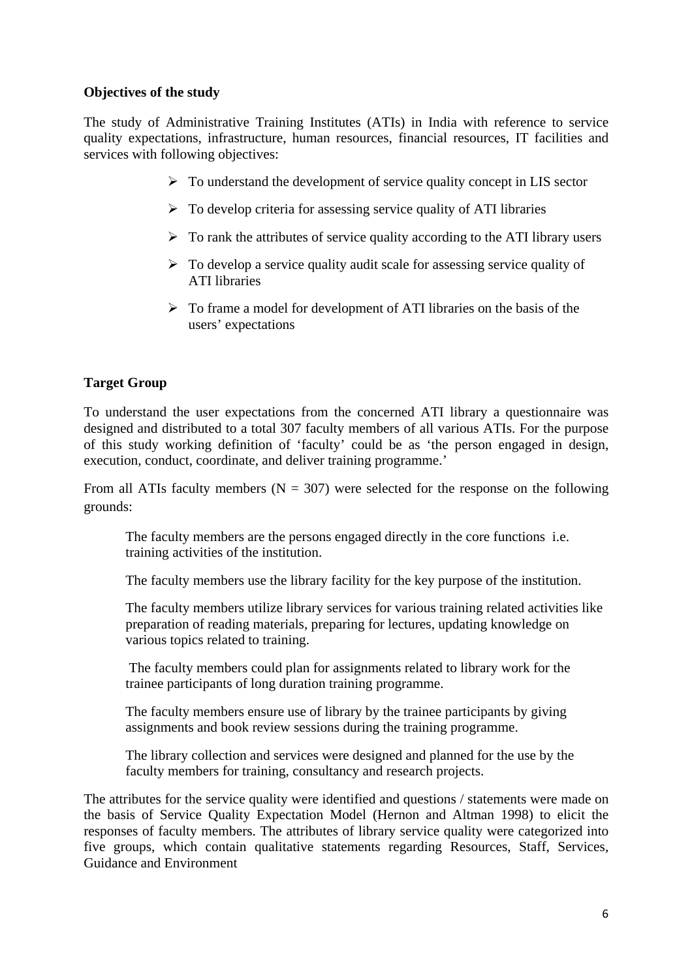#### **Objectives of the study**

The study of Administrative Training Institutes (ATIs) in India with reference to service quality expectations, infrastructure, human resources, financial resources, IT facilities and services with following objectives:

- $\triangleright$  To understand the development of service quality concept in LIS sector
- $\triangleright$  To develop criteria for assessing service quality of ATI libraries
- $\triangleright$  To rank the attributes of service quality according to the ATI library users
- $\triangleright$  To develop a service quality audit scale for assessing service quality of ATI libraries
- $\triangleright$  To frame a model for development of ATI libraries on the basis of the users' expectations

# **Target Group**

To understand the user expectations from the concerned ATI library a questionnaire was designed and distributed to a total 307 faculty members of all various ATIs. For the purpose of this study working definition of 'faculty' could be as 'the person engaged in design, execution, conduct, coordinate, and deliver training programme.'

From all ATIs faculty members ( $N = 307$ ) were selected for the response on the following grounds:

The faculty members are the persons engaged directly in the core functions i.e. training activities of the institution.

The faculty members use the library facility for the key purpose of the institution.

The faculty members utilize library services for various training related activities like preparation of reading materials, preparing for lectures, updating knowledge on various topics related to training.

 The faculty members could plan for assignments related to library work for the trainee participants of long duration training programme.

The faculty members ensure use of library by the trainee participants by giving assignments and book review sessions during the training programme.

The library collection and services were designed and planned for the use by the faculty members for training, consultancy and research projects.

The attributes for the service quality were identified and questions / statements were made on the basis of Service Quality Expectation Model (Hernon and Altman 1998) to elicit the responses of faculty members. The attributes of library service quality were categorized into five groups, which contain qualitative statements regarding Resources, Staff, Services, Guidance and Environment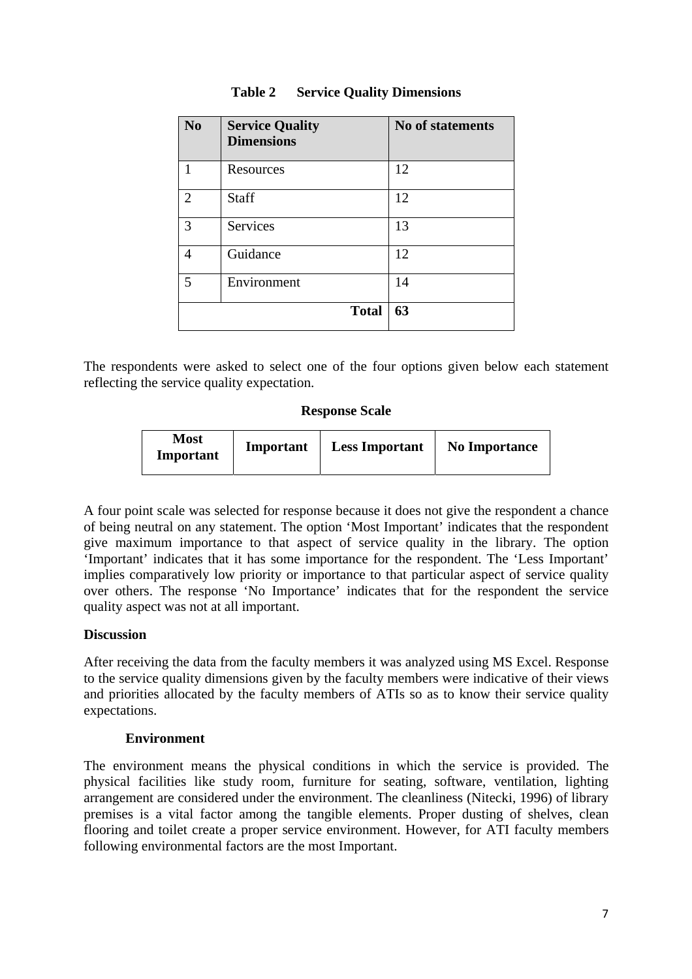| N <sub>0</sub> | <b>Service Quality</b><br><b>Dimensions</b> | <b>No of statements</b> |
|----------------|---------------------------------------------|-------------------------|
| 1              | Resources                                   | 12                      |
| $\overline{2}$ | <b>Staff</b>                                | 12                      |
| 3              | Services                                    | 13                      |
| 4              | Guidance                                    | 12                      |
| 5              | Environment                                 | 14                      |
|                | <b>Total</b>                                | 63                      |

#### **Table 2 Service Quality Dimensions**

The respondents were asked to select one of the four options given below each statement reflecting the service quality expectation.

#### **Response Scale**

| Most<br>Important | Important | <b>Less Important</b> | <b>No Importance</b> |
|-------------------|-----------|-----------------------|----------------------|
|-------------------|-----------|-----------------------|----------------------|

A four point scale was selected for response because it does not give the respondent a chance of being neutral on any statement. The option 'Most Important' indicates that the respondent give maximum importance to that aspect of service quality in the library. The option 'Important' indicates that it has some importance for the respondent. The 'Less Important' implies comparatively low priority or importance to that particular aspect of service quality over others. The response 'No Importance' indicates that for the respondent the service quality aspect was not at all important.

#### **Discussion**

After receiving the data from the faculty members it was analyzed using MS Excel. Response to the service quality dimensions given by the faculty members were indicative of their views and priorities allocated by the faculty members of ATIs so as to know their service quality expectations.

#### **Environment**

The environment means the physical conditions in which the service is provided. The physical facilities like study room, furniture for seating, software, ventilation, lighting arrangement are considered under the environment. The cleanliness (Nitecki, 1996) of library premises is a vital factor among the tangible elements. Proper dusting of shelves, clean flooring and toilet create a proper service environment. However, for ATI faculty members following environmental factors are the most Important.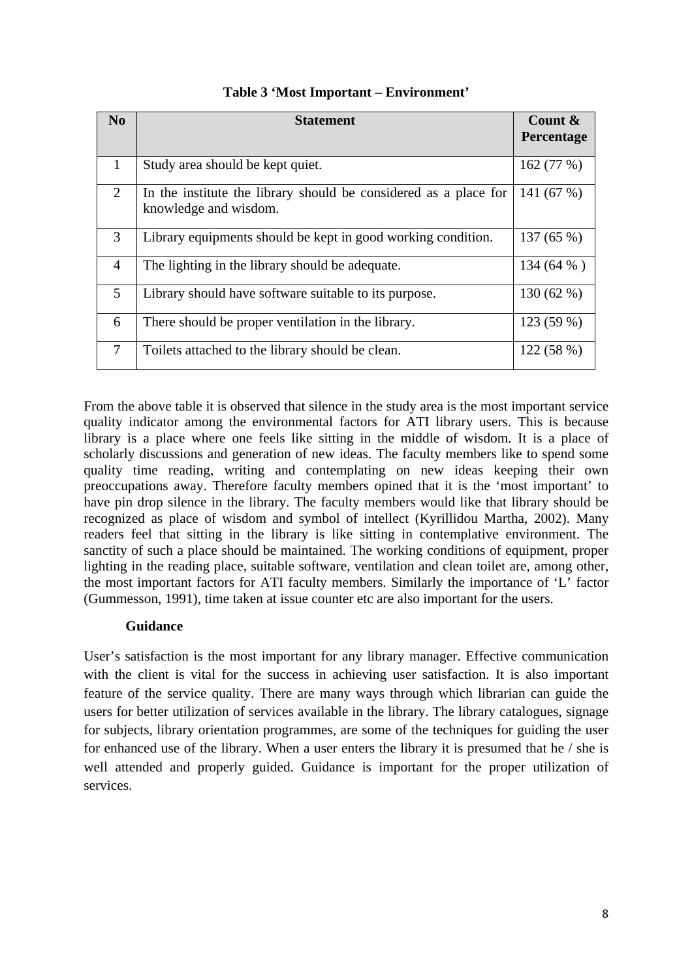| $\mathbf{N}\mathbf{0}$ | <b>Statement</b>                                                                          | Count $\&$<br><b>Percentage</b> |
|------------------------|-------------------------------------------------------------------------------------------|---------------------------------|
| 1                      | Study area should be kept quiet.                                                          | 162(77%)                        |
| $\overline{2}$         | In the institute the library should be considered as a place for<br>knowledge and wisdom. | 141 $(67%)$                     |
| 3                      | Library equipments should be kept in good working condition.                              | 137(65%)                        |
| $\overline{4}$         | The lighting in the library should be adequate.                                           | 134 (64 %)                      |
| 5                      | Library should have software suitable to its purpose.                                     | 130(62%)                        |
| 6                      | There should be proper ventilation in the library.                                        | 123 (59 %)                      |
| 7                      | Toilets attached to the library should be clean.                                          | 122(58%)                        |

# **Table 3 'Most Important – Environment'**

From the above table it is observed that silence in the study area is the most important service quality indicator among the environmental factors for ATI library users. This is because library is a place where one feels like sitting in the middle of wisdom. It is a place of scholarly discussions and generation of new ideas. The faculty members like to spend some quality time reading, writing and contemplating on new ideas keeping their own preoccupations away. Therefore faculty members opined that it is the 'most important' to have pin drop silence in the library. The faculty members would like that library should be recognized as place of wisdom and symbol of intellect (Kyrillidou Martha, 2002). Many readers feel that sitting in the library is like sitting in contemplative environment. The sanctity of such a place should be maintained. The working conditions of equipment, proper lighting in the reading place, suitable software, ventilation and clean toilet are, among other, the most important factors for ATI faculty members. Similarly the importance of 'L' factor (Gummesson, 1991), time taken at issue counter etc are also important for the users.

# **Guidance**

User's satisfaction is the most important for any library manager. Effective communication with the client is vital for the success in achieving user satisfaction. It is also important feature of the service quality. There are many ways through which librarian can guide the users for better utilization of services available in the library. The library catalogues, signage for subjects, library orientation programmes, are some of the techniques for guiding the user for enhanced use of the library. When a user enters the library it is presumed that he / she is well attended and properly guided. Guidance is important for the proper utilization of services.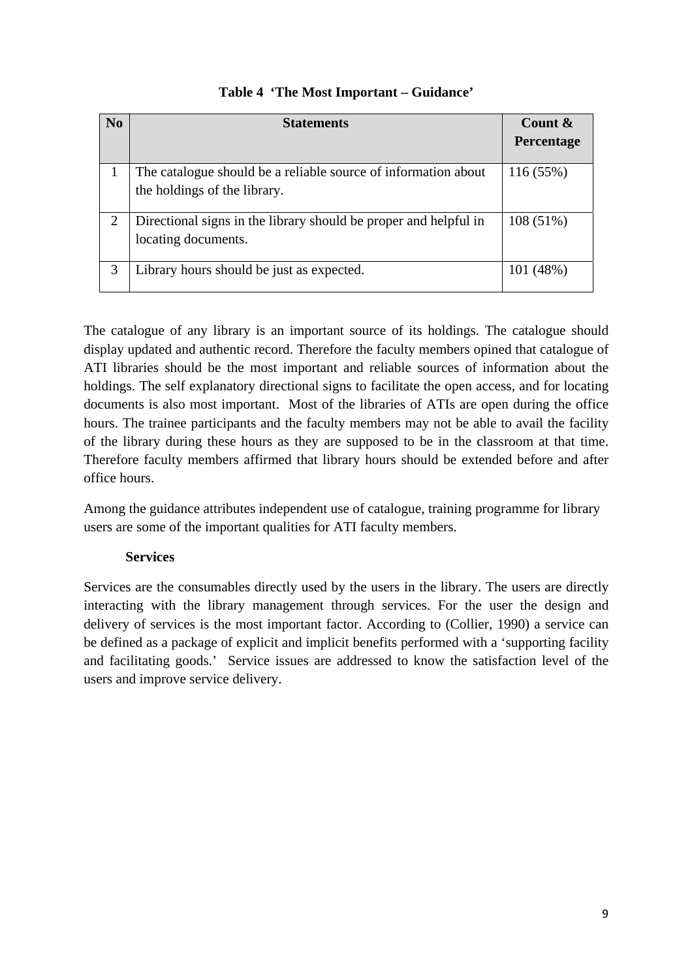| N <sub>0</sub> | <b>Statements</b>                                                                              | Count &     |
|----------------|------------------------------------------------------------------------------------------------|-------------|
|                |                                                                                                | Percentage  |
|                | The catalogue should be a reliable source of information about<br>the holdings of the library. | 116 (55%)   |
|                | Directional signs in the library should be proper and helpful in<br>locating documents.        | $108(51\%)$ |
| 3              | Library hours should be just as expected.                                                      | 101 (48%)   |

# **Table 4 'The Most Important – Guidance'**

The catalogue of any library is an important source of its holdings. The catalogue should display updated and authentic record. Therefore the faculty members opined that catalogue of ATI libraries should be the most important and reliable sources of information about the holdings. The self explanatory directional signs to facilitate the open access, and for locating documents is also most important. Most of the libraries of ATIs are open during the office hours. The trainee participants and the faculty members may not be able to avail the facility of the library during these hours as they are supposed to be in the classroom at that time. Therefore faculty members affirmed that library hours should be extended before and after office hours.

Among the guidance attributes independent use of catalogue, training programme for library users are some of the important qualities for ATI faculty members.

# **Services**

Services are the consumables directly used by the users in the library. The users are directly interacting with the library management through services. For the user the design and delivery of services is the most important factor. According to (Collier, 1990) a service can be defined as a package of explicit and implicit benefits performed with a 'supporting facility and facilitating goods.' Service issues are addressed to know the satisfaction level of the users and improve service delivery.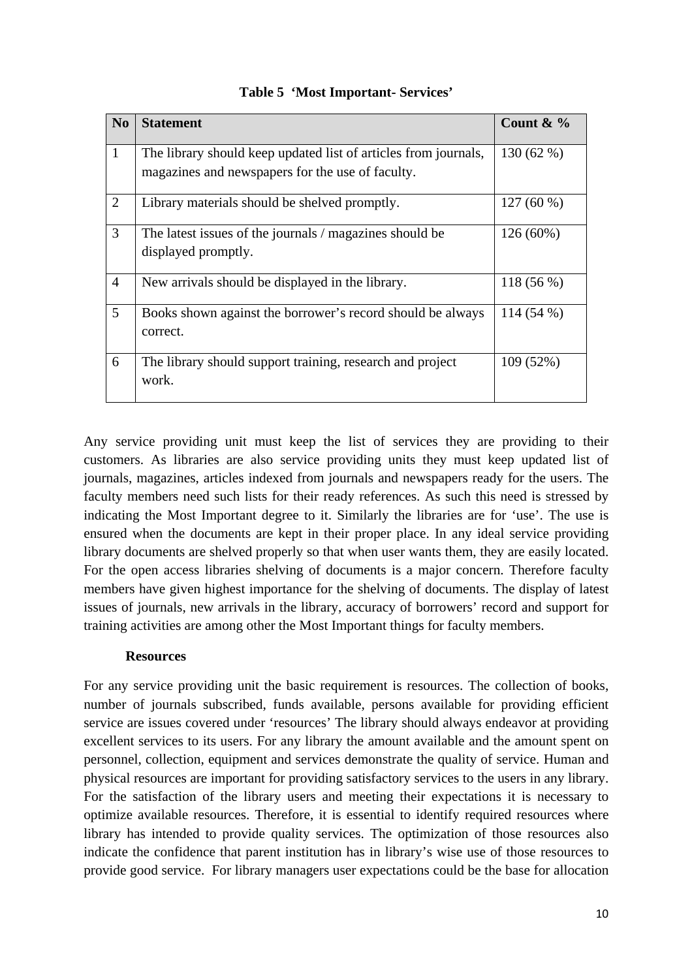| N <sub>0</sub>  | <b>Statement</b>                                                                                                    | Count & $\%$ |
|-----------------|---------------------------------------------------------------------------------------------------------------------|--------------|
| $\mathbf{1}$    | The library should keep updated list of articles from journals,<br>magazines and newspapers for the use of faculty. | 130 (62 %)   |
| 2               | Library materials should be shelved promptly.                                                                       | $127(60\%)$  |
| $\overline{3}$  | The latest issues of the journals / magazines should be<br>displayed promptly.                                      | $126(60\%)$  |
| $\overline{4}$  | New arrivals should be displayed in the library.                                                                    | $118(56\%)$  |
| $5\overline{)}$ | Books shown against the borrower's record should be always<br>correct.                                              | $114(54\%)$  |
| 6               | The library should support training, research and project<br>work.                                                  | 109 (52%)    |

# **Table 5 'Most Important- Services'**

Any service providing unit must keep the list of services they are providing to their customers. As libraries are also service providing units they must keep updated list of journals, magazines, articles indexed from journals and newspapers ready for the users. The faculty members need such lists for their ready references. As such this need is stressed by indicating the Most Important degree to it. Similarly the libraries are for 'use'. The use is ensured when the documents are kept in their proper place. In any ideal service providing library documents are shelved properly so that when user wants them, they are easily located. For the open access libraries shelving of documents is a major concern. Therefore faculty members have given highest importance for the shelving of documents. The display of latest issues of journals, new arrivals in the library, accuracy of borrowers' record and support for training activities are among other the Most Important things for faculty members.

#### **Resources**

For any service providing unit the basic requirement is resources. The collection of books, number of journals subscribed, funds available, persons available for providing efficient service are issues covered under 'resources' The library should always endeavor at providing excellent services to its users. For any library the amount available and the amount spent on personnel, collection, equipment and services demonstrate the quality of service. Human and physical resources are important for providing satisfactory services to the users in any library. For the satisfaction of the library users and meeting their expectations it is necessary to optimize available resources. Therefore, it is essential to identify required resources where library has intended to provide quality services. The optimization of those resources also indicate the confidence that parent institution has in library's wise use of those resources to provide good service. For library managers user expectations could be the base for allocation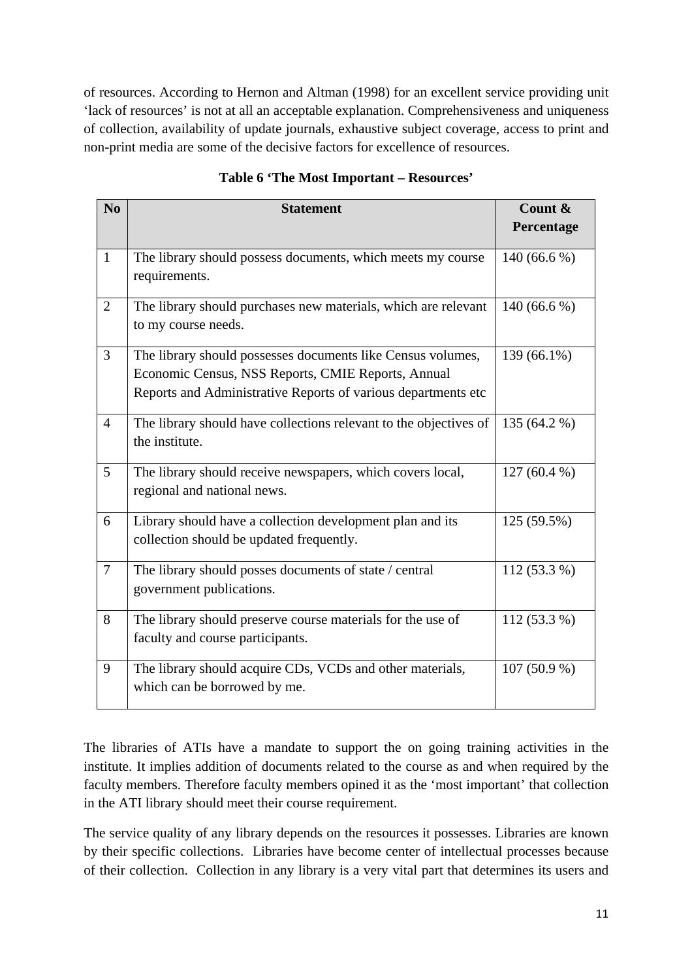of resources. According to Hernon and Altman (1998) for an excellent service providing unit 'lack of resources' is not at all an acceptable explanation. Comprehensiveness and uniqueness of collection, availability of update journals, exhaustive subject coverage, access to print and non-print media are some of the decisive factors for excellence of resources.

| N <sub>0</sub> | <b>Statement</b>                                                                                                                                                                   | Count &<br>Percentage |
|----------------|------------------------------------------------------------------------------------------------------------------------------------------------------------------------------------|-----------------------|
| $\mathbf{1}$   | The library should possess documents, which meets my course<br>requirements.                                                                                                       | 140 (66.6 %)          |
| 2              | The library should purchases new materials, which are relevant<br>to my course needs.                                                                                              | 140 $(66.6\%)$        |
| $\overline{3}$ | The library should possesses documents like Census volumes,<br>Economic Census, NSS Reports, CMIE Reports, Annual<br>Reports and Administrative Reports of various departments etc | 139 (66.1%)           |
| $\overline{4}$ | The library should have collections relevant to the objectives of<br>the institute.                                                                                                | 135 (64.2 %)          |
| 5              | The library should receive newspapers, which covers local,<br>regional and national news.                                                                                          | $127(60.4\%)$         |
| 6              | Library should have a collection development plan and its<br>collection should be updated frequently.                                                                              | 125 (59.5%)           |
| $\overline{7}$ | The library should posses documents of state / central<br>government publications.                                                                                                 | $112(53.3\%)$         |
| 8              | The library should preserve course materials for the use of<br>faculty and course participants.                                                                                    | $112(53.3\%)$         |
| 9              | The library should acquire CDs, VCDs and other materials,<br>which can be borrowed by me.                                                                                          | 107 (50.9 %)          |

**Table 6 'The Most Important – Resources'** 

The libraries of ATIs have a mandate to support the on going training activities in the institute. It implies addition of documents related to the course as and when required by the faculty members. Therefore faculty members opined it as the 'most important' that collection in the ATI library should meet their course requirement.

The service quality of any library depends on the resources it possesses. Libraries are known by their specific collections. Libraries have become center of intellectual processes because of their collection. Collection in any library is a very vital part that determines its users and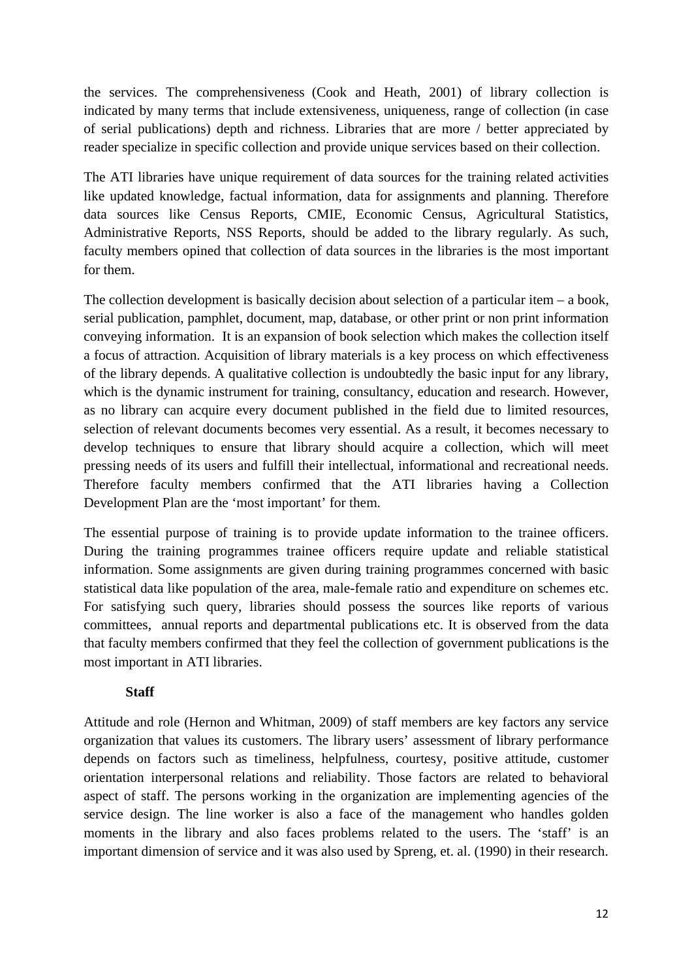the services. The comprehensiveness (Cook and Heath, 2001) of library collection is indicated by many terms that include extensiveness, uniqueness, range of collection (in case of serial publications) depth and richness. Libraries that are more / better appreciated by reader specialize in specific collection and provide unique services based on their collection.

The ATI libraries have unique requirement of data sources for the training related activities like updated knowledge, factual information, data for assignments and planning. Therefore data sources like Census Reports, CMIE, Economic Census, Agricultural Statistics, Administrative Reports, NSS Reports, should be added to the library regularly. As such, faculty members opined that collection of data sources in the libraries is the most important for them.

The collection development is basically decision about selection of a particular item – a book, serial publication, pamphlet, document, map, database, or other print or non print information conveying information. It is an expansion of book selection which makes the collection itself a focus of attraction. Acquisition of library materials is a key process on which effectiveness of the library depends. A qualitative collection is undoubtedly the basic input for any library, which is the dynamic instrument for training, consultancy, education and research. However, as no library can acquire every document published in the field due to limited resources, selection of relevant documents becomes very essential. As a result, it becomes necessary to develop techniques to ensure that library should acquire a collection, which will meet pressing needs of its users and fulfill their intellectual, informational and recreational needs. Therefore faculty members confirmed that the ATI libraries having a Collection Development Plan are the 'most important' for them.

The essential purpose of training is to provide update information to the trainee officers. During the training programmes trainee officers require update and reliable statistical information. Some assignments are given during training programmes concerned with basic statistical data like population of the area, male-female ratio and expenditure on schemes etc. For satisfying such query, libraries should possess the sources like reports of various committees, annual reports and departmental publications etc. It is observed from the data that faculty members confirmed that they feel the collection of government publications is the most important in ATI libraries.

# **Staff**

Attitude and role (Hernon and Whitman, 2009) of staff members are key factors any service organization that values its customers. The library users' assessment of library performance depends on factors such as timeliness, helpfulness, courtesy, positive attitude, customer orientation interpersonal relations and reliability. Those factors are related to behavioral aspect of staff. The persons working in the organization are implementing agencies of the service design. The line worker is also a face of the management who handles golden moments in the library and also faces problems related to the users. The 'staff' is an important dimension of service and it was also used by Spreng, et. al. (1990) in their research.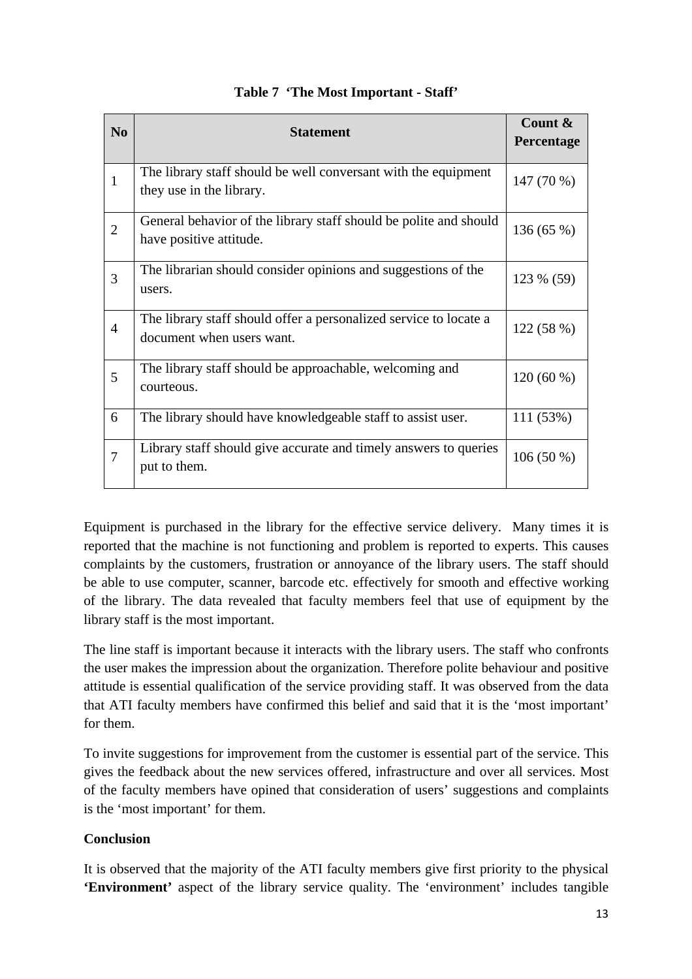| N <sub>0</sub> | <b>Statement</b>                                                                               | Count &     |
|----------------|------------------------------------------------------------------------------------------------|-------------|
|                |                                                                                                | Percentage  |
| $\mathbf{1}$   | The library staff should be well conversant with the equipment<br>they use in the library.     | 147 (70 %)  |
| $\overline{2}$ | General behavior of the library staff should be polite and should<br>have positive attitude.   | 136 (65 %)  |
| 3              | The librarian should consider opinions and suggestions of the<br>users.                        | 123 % (59)  |
| $\overline{4}$ | The library staff should offer a personalized service to locate a<br>document when users want. | 122 (58 %)  |
| 5              | The library staff should be approachable, welcoming and<br>courteous.                          | $120(60\%)$ |
| 6              | The library should have knowledgeable staff to assist user.                                    | 111 (53%)   |
| $\overline{7}$ | Library staff should give accurate and timely answers to queries<br>put to them.               | $106(50\%)$ |

# **Table 7 'The Most Important - Staff'**

Equipment is purchased in the library for the effective service delivery. Many times it is reported that the machine is not functioning and problem is reported to experts. This causes complaints by the customers, frustration or annoyance of the library users. The staff should be able to use computer, scanner, barcode etc. effectively for smooth and effective working of the library. The data revealed that faculty members feel that use of equipment by the library staff is the most important.

The line staff is important because it interacts with the library users. The staff who confronts the user makes the impression about the organization. Therefore polite behaviour and positive attitude is essential qualification of the service providing staff. It was observed from the data that ATI faculty members have confirmed this belief and said that it is the 'most important' for them.

To invite suggestions for improvement from the customer is essential part of the service. This gives the feedback about the new services offered, infrastructure and over all services. Most of the faculty members have opined that consideration of users' suggestions and complaints is the 'most important' for them.

# **Conclusion**

It is observed that the majority of the ATI faculty members give first priority to the physical **'Environment'** aspect of the library service quality. The 'environment' includes tangible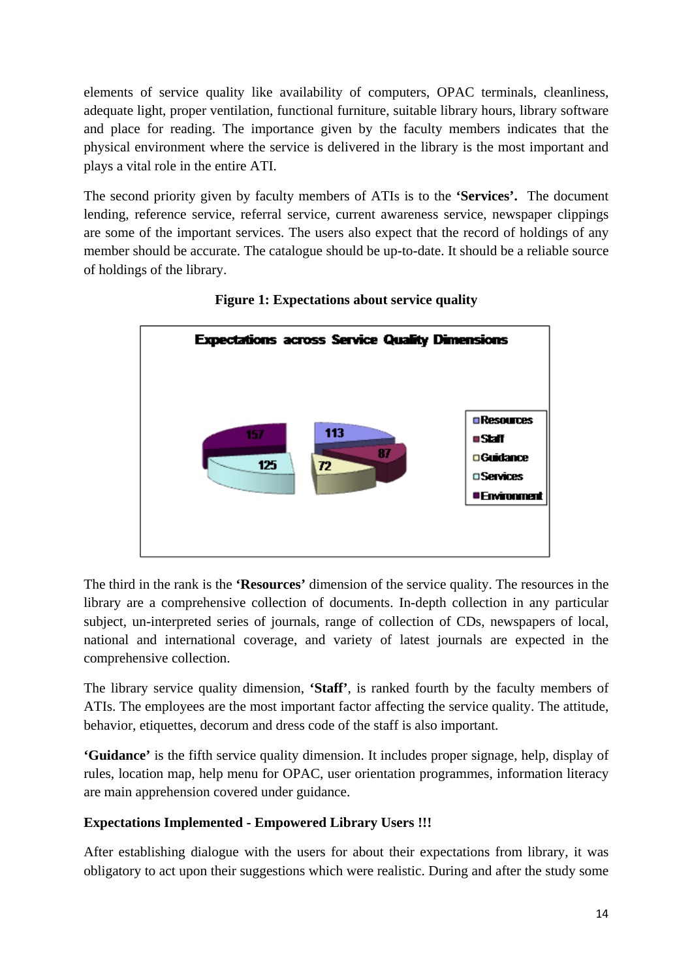elements of service quality like availability of computers, OPAC terminals, cleanliness, adequate light, proper ventilation, functional furniture, suitable library hours, library software and place for reading. The importance given by the faculty members indicates that the physical environment where the service is delivered in the library is the most important and plays a vital role in the entire ATI.

The second priority given by faculty members of ATIs is to the **'Services'.** The document lending, reference service, referral service, current awareness service, newspaper clippings are some of the important services. The users also expect that the record of holdings of any member should be accurate. The catalogue should be up-to-date. It should be a reliable source of holdings of the library.



**Figure 1: Expectations about service quality** 

The third in the rank is the **'Resources'** dimension of the service quality. The resources in the library are a comprehensive collection of documents. In-depth collection in any particular subject, un-interpreted series of journals, range of collection of CDs, newspapers of local, national and international coverage, and variety of latest journals are expected in the comprehensive collection.

The library service quality dimension, **'Staff'**, is ranked fourth by the faculty members of ATIs. The employees are the most important factor affecting the service quality. The attitude, behavior, etiquettes, decorum and dress code of the staff is also important.

**'Guidance'** is the fifth service quality dimension. It includes proper signage, help, display of rules, location map, help menu for OPAC, user orientation programmes, information literacy are main apprehension covered under guidance.

# **Expectations Implemented - Empowered Library Users !!!**

After establishing dialogue with the users for about their expectations from library, it was obligatory to act upon their suggestions which were realistic. During and after the study some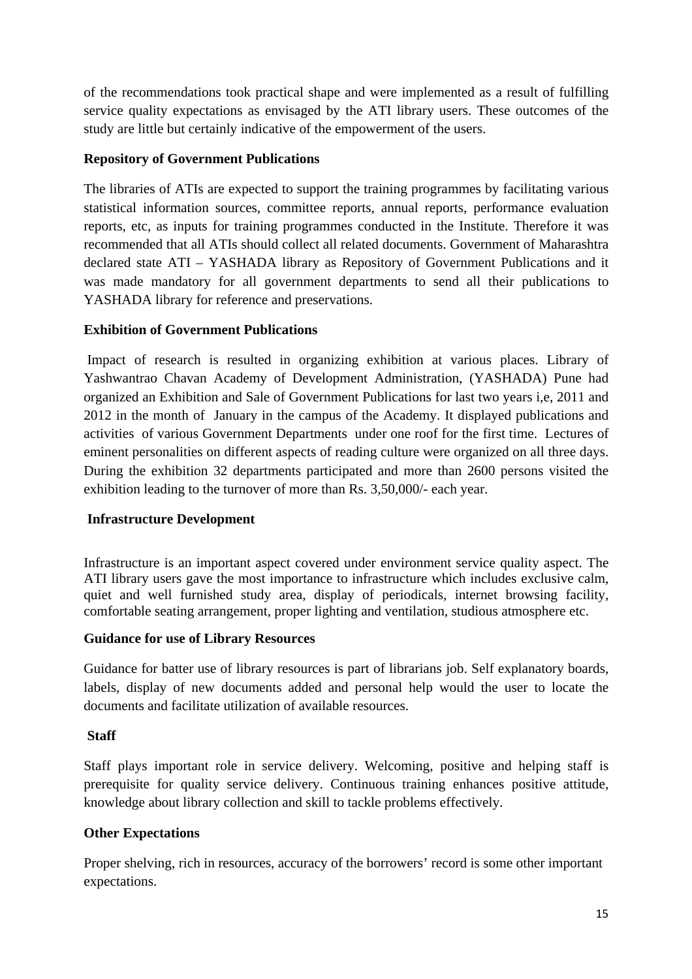of the recommendations took practical shape and were implemented as a result of fulfilling service quality expectations as envisaged by the ATI library users. These outcomes of the study are little but certainly indicative of the empowerment of the users.

# **Repository of Government Publications**

The libraries of ATIs are expected to support the training programmes by facilitating various statistical information sources, committee reports, annual reports, performance evaluation reports, etc, as inputs for training programmes conducted in the Institute. Therefore it was recommended that all ATIs should collect all related documents. Government of Maharashtra declared state ATI – YASHADA library as Repository of Government Publications and it was made mandatory for all government departments to send all their publications to YASHADA library for reference and preservations.

# **Exhibition of Government Publications**

 Impact of research is resulted in organizing exhibition at various places. Library of Yashwantrao Chavan Academy of Development Administration, (YASHADA) Pune had organized an Exhibition and Sale of Government Publications for last two years i,e, 2011 and 2012 in the month of January in the campus of the Academy. It displayed publications and activities of various Government Departments under one roof for the first time. Lectures of eminent personalities on different aspects of reading culture were organized on all three days. During the exhibition 32 departments participated and more than 2600 persons visited the exhibition leading to the turnover of more than Rs. 3,50,000/- each year.

# **Infrastructure Development**

Infrastructure is an important aspect covered under environment service quality aspect. The ATI library users gave the most importance to infrastructure which includes exclusive calm, quiet and well furnished study area, display of periodicals, internet browsing facility, comfortable seating arrangement, proper lighting and ventilation, studious atmosphere etc.

# **Guidance for use of Library Resources**

Guidance for batter use of library resources is part of librarians job. Self explanatory boards, labels, display of new documents added and personal help would the user to locate the documents and facilitate utilization of available resources.

# **Staff**

Staff plays important role in service delivery. Welcoming, positive and helping staff is prerequisite for quality service delivery. Continuous training enhances positive attitude, knowledge about library collection and skill to tackle problems effectively.

# **Other Expectations**

Proper shelving, rich in resources, accuracy of the borrowers' record is some other important expectations.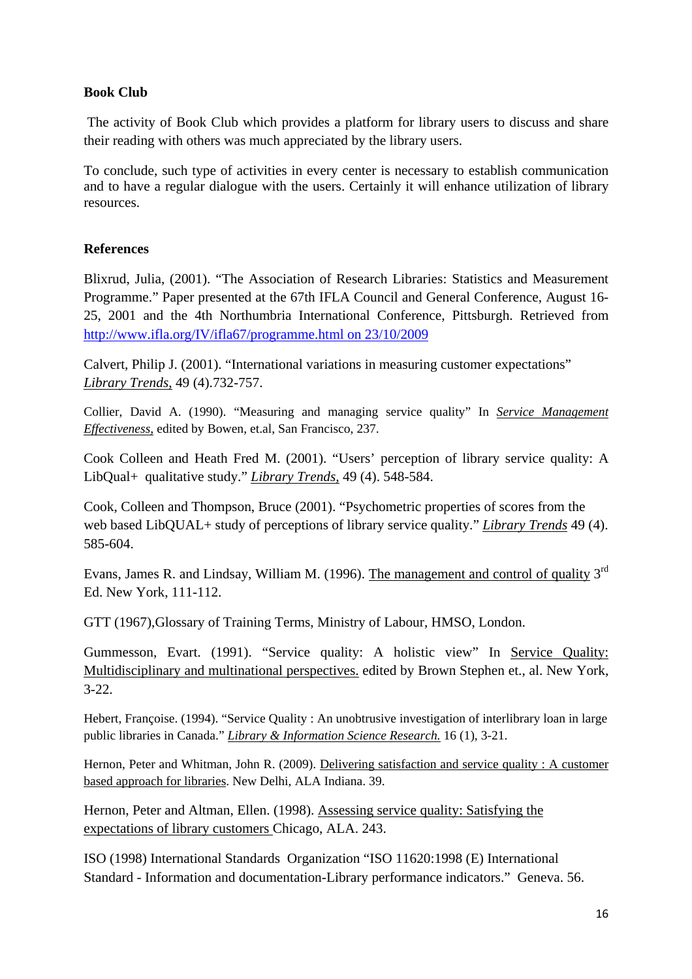# **Book Club**

 The activity of Book Club which provides a platform for library users to discuss and share their reading with others was much appreciated by the library users.

To conclude, such type of activities in every center is necessary to establish communication and to have a regular dialogue with the users. Certainly it will enhance utilization of library resources.

# **References**

Blixrud, Julia, (2001). "The Association of Research Libraries: Statistics and Measurement Programme." Paper presented at the 67th IFLA Council and General Conference, August 16- 25, 2001 and the 4th Northumbria International Conference, Pittsburgh. Retrieved from http://www.ifla.org/IV/ifla67/programme.html on 23/10/2009

Calvert, Philip J. (2001). "International variations in measuring customer expectations" *Library Trends*, 49 (4).732-757.

Collier, David A. (1990). "Measuring and managing service quality" In *Service Management Effectiveness,* edited by Bowen, et.al, San Francisco, 237.

Cook Colleen and Heath Fred M. (2001). "Users' perception of library service quality: A LibQual+ qualitative study." *Library Trends,* 49 (4). 548-584.

Cook, Colleen and Thompson, Bruce (2001). "Psychometric properties of scores from the web based LibQUAL+ study of perceptions of library service quality." *Library Trends* 49 (4). 585-604.

Evans, James R. and Lindsay, William M. (1996). The management and control of quality  $3<sup>rd</sup>$ Ed. New York, 111-112.

GTT (1967),Glossary of Training Terms, Ministry of Labour, HMSO, London.

Gummesson, Evart. (1991). "Service quality: A holistic view" In Service Quality: Multidisciplinary and multinational perspectives. edited by Brown Stephen et., al. New York, 3-22.

Hebert, Françoise. (1994). "Service Quality : An unobtrusive investigation of interlibrary loan in large public libraries in Canada." *Library & Information Science Research.* 16 (1), 3-21.

Hernon, Peter and Whitman, John R. (2009). Delivering satisfaction and service quality : A customer based approach for libraries. New Delhi, ALA Indiana. 39.

Hernon, Peter and Altman, Ellen. (1998). Assessing service quality: Satisfying the expectations of library customers Chicago, ALA. 243.

ISO (1998) International Standards Organization "ISO 11620:1998 (E) International Standard - Information and documentation-Library performance indicators." Geneva. 56.